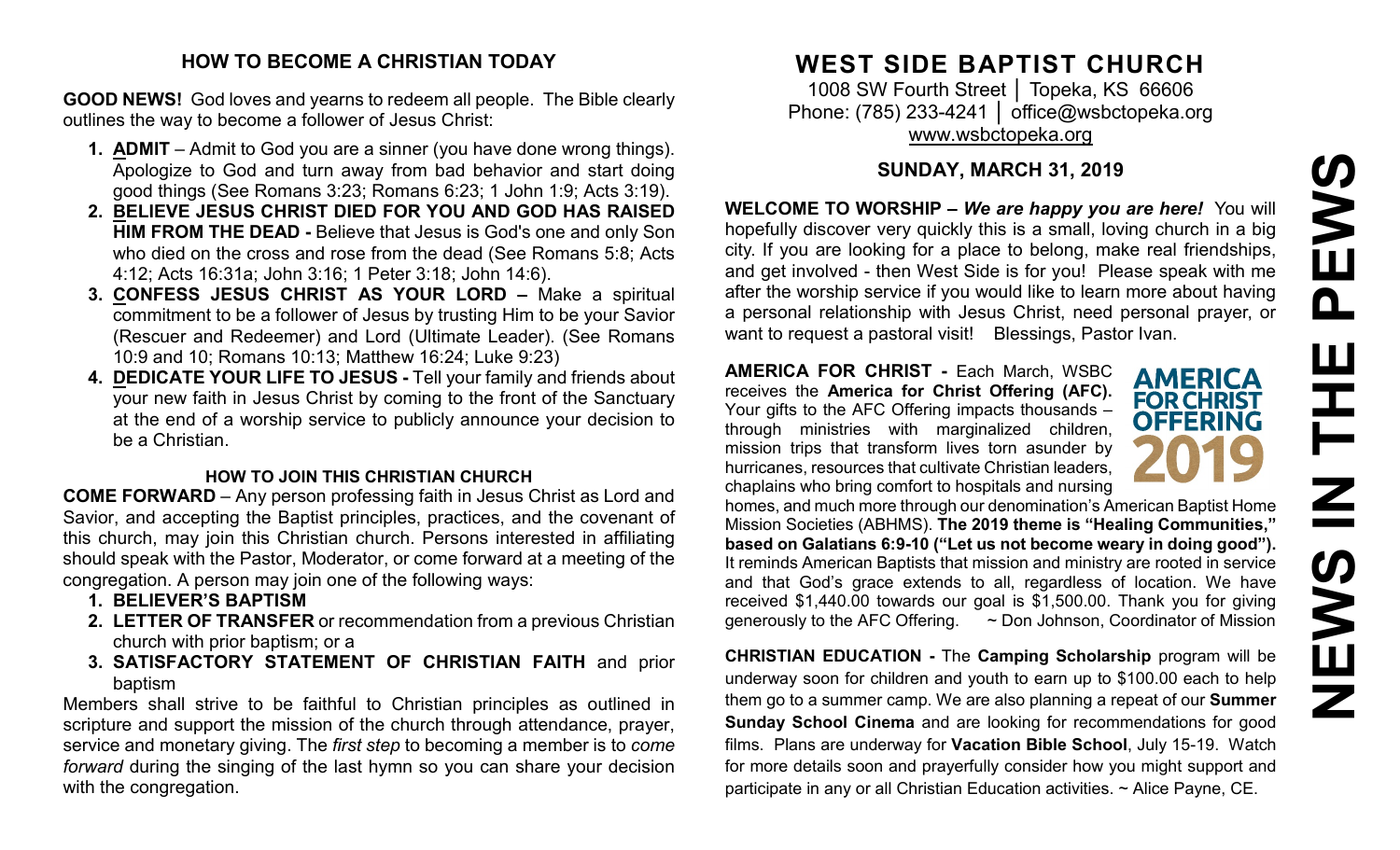# PEWS **NEWS IN THE PEWS**HH Z **SARNE**

#### **HOW TO BECOME A CHRISTIAN TODAY**

**GOOD NEWS!** God loves and yearns to redeem all people. The Bible clearly outlines the way to become a follower of Jesus Christ:

- **1. ADMIT** Admit to God you are a sinner (you have done wrong things). Apologize to God and turn away from bad behavior and start doing good things (See Romans 3:23; Romans 6:23; 1 John 1:9; Acts 3:19).
- **2. BELIEVE JESUS CHRIST DIED FOR YOU AND GOD HAS RAISED HIM FROM THE DEAD -** Believe that Jesus is God's one and only Son who died on the cross and rose from the dead (See Romans 5:8; Acts 4:12; Acts 16:31a; John 3:16; 1 Peter 3:18; John 14:6).
- **3. CONFESS JESUS CHRIST AS YOUR LORD –** Make a spiritual commitment to be a follower of Jesus by trusting Him to be your Savior (Rescuer and Redeemer) and Lord (Ultimate Leader). (See Romans 10:9 and 10; Romans 10:13; Matthew 16:24; Luke 9:23)
- **4. DEDICATE YOUR LIFE TO JESUS -** Tell your family and friends about your new faith in Jesus Christ by coming to the front of the Sanctuary at the end of a worship service to publicly announce your decision to be a Christian.

#### **HOW TO JOIN THIS CHRISTIAN CHURCH**

**COME FORWARD** – Any person professing faith in Jesus Christ as Lord and Savior, and accepting the Baptist principles, practices, and the covenant of this church, may join this Christian church. Persons interested in affiliating should speak with the Pastor, Moderator, or come forward at a meeting of the congregation. A person may join one of the following ways:

- **1. BELIEVER'S BAPTISM**
- **2. LETTER OF TRANSFER** or recommendation from a previous Christian church with prior baptism; or a
- **3. SATISFACTORY STATEMENT OF CHRISTIAN FAITH** and prior baptism

Members shall strive to be faithful to Christian principles as outlined in scripture and support the mission of the church through attendance, prayer, service and monetary giving. The *first step* to becoming a member is to *come forward* during the singing of the last hymn so you can share your decision with the congregation.

# **WEST SIDE BAPTIST CHURCH**

1008 SW Fourth Street | Topeka, KS 66606 Phone: (785) 233-4241 │ [office@wsbctopeka.org](mailto:office@wsbctopeka.org) [www.wsbctopeka.org](http://www.wsbctopeka.org/)

# **SUNDAY, MARCH 31, 2019**

**WELCOME TO WORSHIP –** *We are happy you are here!* You will hopefully discover very quickly this is a small, loving church in a big city. If you are looking for a place to belong, make real friendships, and get involved - then West Side is for you! Please speak with me after the worship service if you would like to learn more about having a personal relationship with Jesus Christ, need personal prayer, or want to request a pastoral visit! Blessings, Pastor Ivan.

**AMERICA FOR CHRIST -** Each March, WSBC receives the **America for Christ Offering (AFC).** Your gifts to the AFC Offering impacts thousands – through ministries with marginalized children, mission trips that transform lives torn asunder by hurricanes, resources that cultivate Christian leaders, chaplains who bring comfort to hospitals and nursing

**AMERICA FOR CHRIST OFFERING** 

homes, and much more through our denomination's American Baptist Home Mission Societies (ABHMS). **The 2019 theme is "Healing Communities," based on Galatians 6:9-10 ("Let us not become weary in doing good").** It reminds American Baptists that mission and ministry are rooted in service and that God's grace extends to all, regardless of location. We have received \$1,440.00 towards our goal is \$1,500.00. Thank you for giving generously to the AFC Offering. ~ Don Johnson, Coordinator of Mission

**CHRISTIAN EDUCATION -** The **Camping Scholarship** program will be underway soon for children and youth to earn up to \$100.00 each to help them go to a summer camp. We are also planning a repeat of our **Summer Sunday School Cinema** and are looking for recommendations for good films. Plans are underway for **Vacation Bible School**, July 15-19. Watch for more details soon and prayerfully consider how you might support and participate in any or all Christian Education activities. ~ Alice Payne, CE.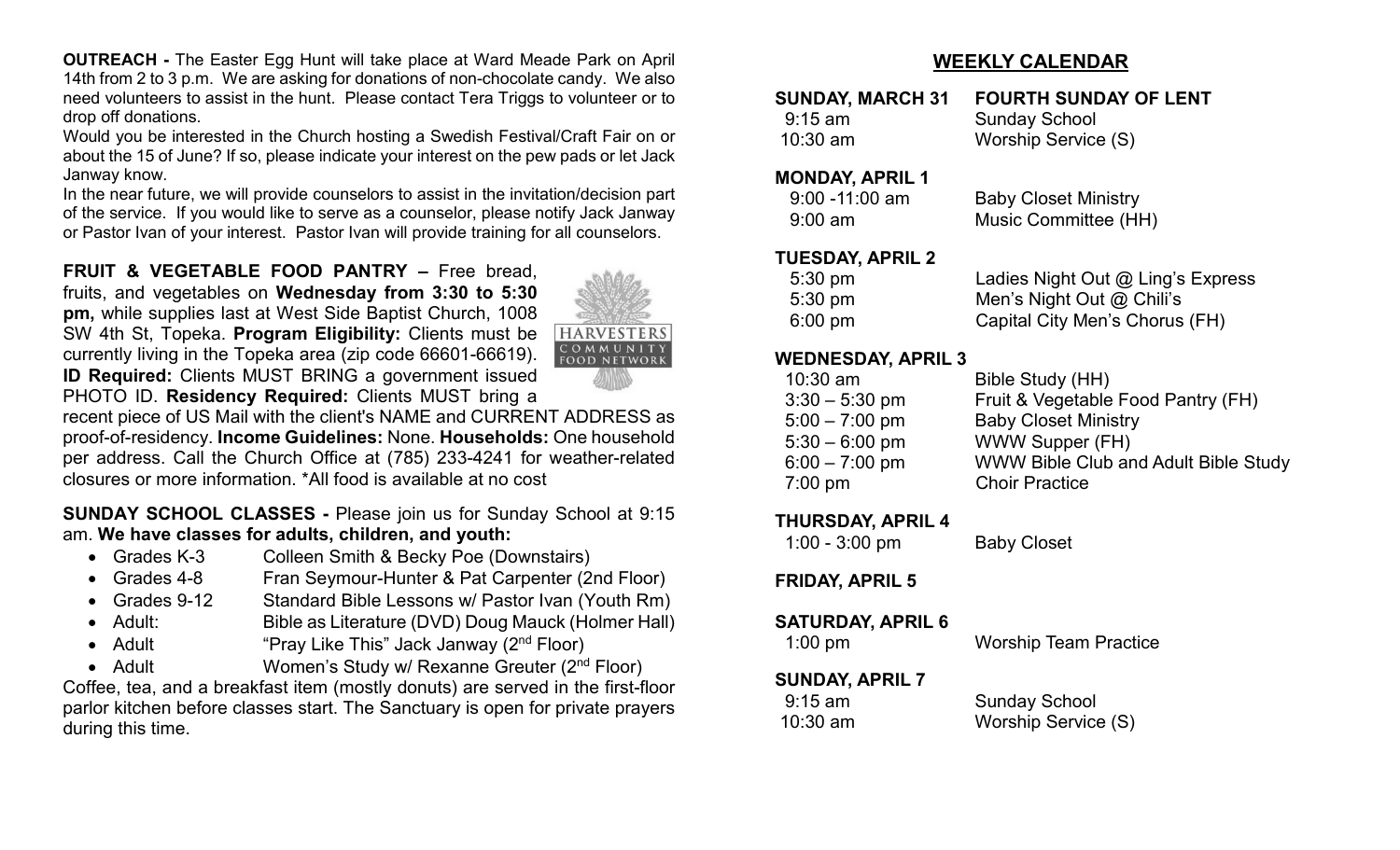**OUTREACH -** The Easter Egg Hunt will take place at Ward Meade Park on April 14th from 2 to 3 p.m. We are asking for donations of non-chocolate candy. We also need volunteers to assist in the hunt. Please contact Tera Triggs to volunteer or to drop off donations.

Would you be interested in the Church hosting a Swedish Festival/Craft Fair on or about the 15 of June? If so, please indicate your interest on the pew pads or let Jack Janway know.

In the near future, we will provide counselors to assist in the invitation/decision part of the service. If you would like to serve as a counselor, please notify Jack Janway or Pastor Ivan of your interest. Pastor Ivan will provide training for all counselors.

**FRUIT & VEGETABLE FOOD PANTRY –** Free bread, fruits, and vegetables on **Wednesday from 3:30 to 5:30 pm,** while supplies last at West Side Baptist Church, 1008 SW 4th St, Topeka. **Program Eligibility:** Clients must be currently living in the Topeka area (zip code 66601-66619). **ID Required:** Clients MUST BRING a government issued PHOTO ID. **Residency Required:** Clients MUST bring a



recent piece of US Mail with the client's NAME and CURRENT ADDRESS as proof-of-residency. **Income Guidelines:** None. **Households:** One household per address. Call the Church Office at (785) 233-4241 for weather-related closures or more information. \*All food is available at no cost

**SUNDAY SCHOOL CLASSES -** Please join us for Sunday School at 9:15 am. **We have classes for adults, children, and youth:**

- Grades K-3 Colleen Smith & Becky Poe (Downstairs)
- Grades 4-8 Fran Seymour-Hunter & Pat Carpenter (2nd Floor)
- Grades 9-12 Standard Bible Lessons w/ Pastor Ivan (Youth Rm)
- Adult: Bible as Literature (DVD) Doug Mauck (Holmer Hall)
- Adult "Pray Like This" Jack Janway (2<sup>nd</sup> Floor)
- Adult Women's Study w/ Rexanne Greuter (2<sup>nd</sup> Floor)

Coffee, tea, and a breakfast item (mostly donuts) are served in the first-floor parlor kitchen before classes start. The Sanctuary is open for private prayers during this time.

#### **WEEKLY CALENDAR**

| <b>SUNDAY, MARCH 31</b> | <b>FOURTH SUNDAY OF LENT</b> |
|-------------------------|------------------------------|
| $9:15$ am               | <b>Sunday School</b>         |
| $10:30$ am              | Worship Service (S)          |

#### **MONDAY, APRIL 1**

| $9:00 - 11:00$ am | <b>Baby Closet Ministry</b> |
|-------------------|-----------------------------|
| $9:00 \text{ am}$ | Music Committee (HH)        |

#### **TUESDAY, APRIL 2**

| $5:30 \text{ pm}$ | Ladies Night Out @ Ling's Express |
|-------------------|-----------------------------------|
| $5:30 \text{ pm}$ | Men's Night Out $@$ Chili's       |
| $6:00 \text{ pm}$ | Capital City Men's Chorus (FH)    |

#### **WEDNESDAY, APRIL 3**

| $10:30$ am       | Bible Study (HH)                            |
|------------------|---------------------------------------------|
| $3:30 - 5:30$ pm | Fruit & Vegetable Food Pantry (FH)          |
| $5:00 - 7:00$ pm | <b>Baby Closet Ministry</b>                 |
| $5:30 - 6:00$ pm | <b>WWW Supper (FH)</b>                      |
| $6:00 - 7:00$ pm | <b>WWW Bible Club and Adult Bible Study</b> |
| $7:00$ pm        | <b>Choir Practice</b>                       |
|                  |                                             |

#### **THURSDAY, APRIL 4**

1:00 - 3:00 pm Baby Closet

#### **FRIDAY, APRIL 5**

# **SATURDAY, APRIL 6**<br>1:00 pm

Worship Team Practice

### **SUNDAY, APRIL 7**

 9:15 am Sunday School 10:30 am Worship Service (S)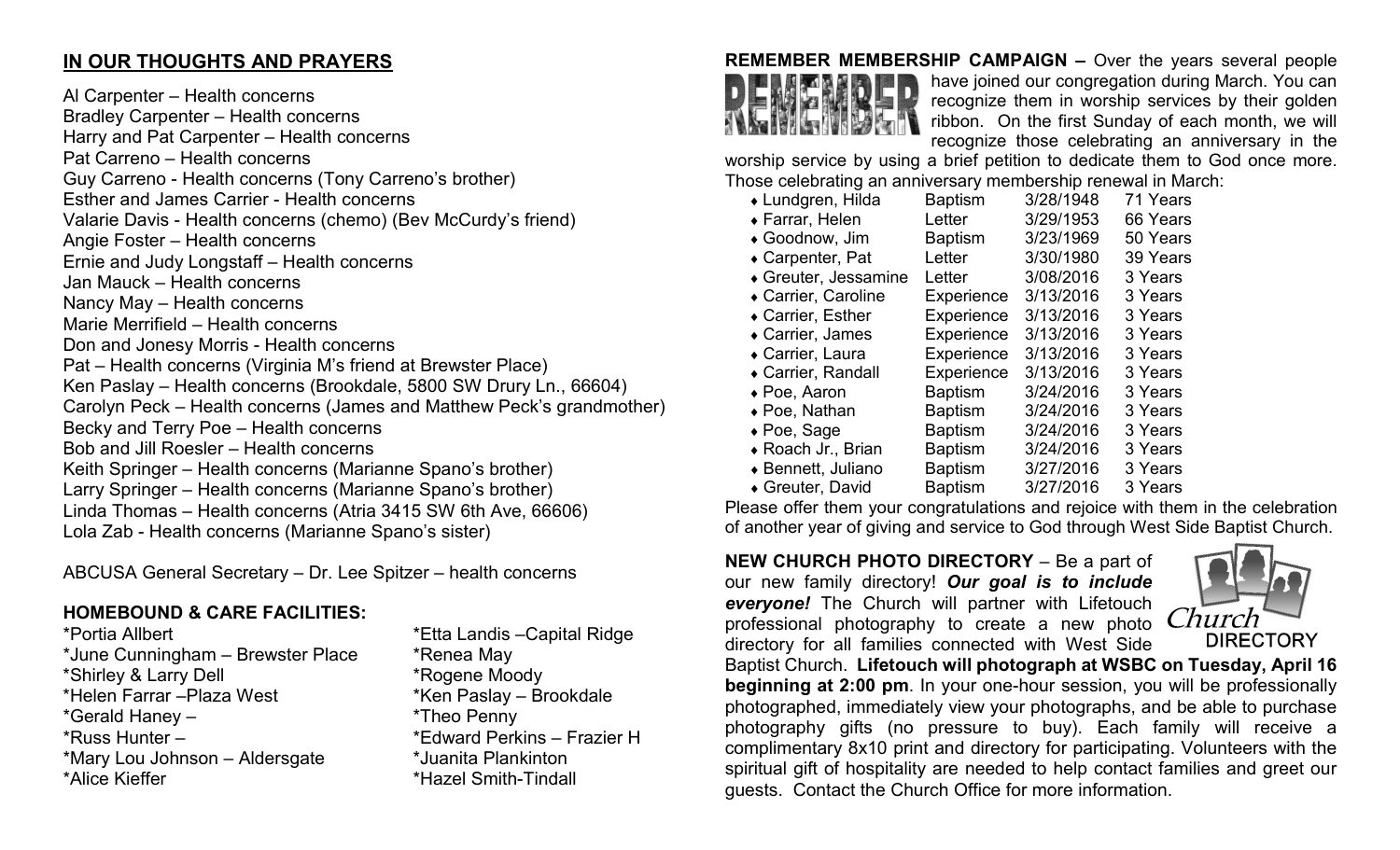## **IN OUR THOUGHTS AND PRAYERS**

Al Carpenter – Health concerns Bradley Carpenter – Health concerns Harry and Pat Carpenter – Health concerns Pat Carreno – Health concerns Guy Carreno - Health concerns (Tony Carreno's brother) Esther and James Carrier - Health concerns Valarie Davis - Health concerns (chemo) (Bev McCurdy's friend) Angie Foster – Health concerns Ernie and Judy Longstaff – Health concerns Jan Mauck – Health concerns Nancy May – Health concerns Marie Merrifield – Health concerns Don and Jonesy Morris - Health concerns Pat – Health concerns (Virginia M's friend at Brewster Place) Ken Paslay – Health concerns (Brookdale, 5800 SW Drury Ln., 66604) Carolyn Peck – Health concerns (James and Matthew Peck's grandmother) Becky and Terry Poe – Health concerns Bob and Jill Roesler – Health concerns Keith Springer – Health concerns (Marianne Spano's brother) Larry Springer – Health concerns (Marianne Spano's brother) Linda Thomas – Health concerns (Atria 3415 SW 6th Ave, 66606) Lola Zab - Health concerns (Marianne Spano's sister)

ABCUSA General Secretary – Dr. Lee Spitzer – health concerns

# **HOMEBOUND & CARE FACILITIES:**

\*Portia Allbert \*Etta Landis –Capital Ridge \*June Cunningham – Brewster Place \* \* Renea May \*Shirley & Larry Dell \*Rogene Moody \*Helen Farrar –Plaza West \*Ken Paslay – Brookdale \*Gerald Haney – \*Theo Penny \*Russ Hunter – \*Edward Perkins – Frazier H \*Mary Lou Johnson – Aldersgate \*Juanita Plankinton

\*Hazel Smith-Tindall



**REMEMBER MEMBERSHIP CAMPAIGN –** Over the years several people have joined our congregation during March. You can recognize them in worship services by their golden ribbon. On the first Sunday of each month, we will recognize those celebrating an anniversary in the

worship service by using a brief petition to dedicate them to God once more. Those celebrating an anniversary membership renewal in March:

| • Lundgren, Hilda    | <b>Baptism</b> | 3/28/1948 | 71 Years |
|----------------------|----------------|-----------|----------|
| ◆ Farrar, Helen      | Letter         | 3/29/1953 | 66 Years |
| ◆ Goodnow, Jim       | <b>Baptism</b> | 3/23/1969 | 50 Years |
| ◆ Carpenter, Pat     | Letter         | 3/30/1980 | 39 Years |
| ◆ Greuter, Jessamine | Letter         | 3/08/2016 | 3 Years  |
| ◆ Carrier, Caroline  | Experience     | 3/13/2016 | 3 Years  |
| ◆ Carrier, Esther    | Experience     | 3/13/2016 | 3 Years  |
| • Carrier, James     | Experience     | 3/13/2016 | 3 Years  |
| ◆ Carrier, Laura     | Experience     | 3/13/2016 | 3 Years  |
| ◆ Carrier, Randall   | Experience     | 3/13/2016 | 3 Years  |
| $\bullet$ Poe, Aaron | <b>Baptism</b> | 3/24/2016 | 3 Years  |
| ◆ Poe, Nathan        | <b>Baptism</b> | 3/24/2016 | 3 Years  |
| $\bullet$ Poe, Sage  | <b>Baptism</b> | 3/24/2016 | 3 Years  |
| ◆ Roach Jr., Brian   | <b>Baptism</b> | 3/24/2016 | 3 Years  |
| ◆ Bennett, Juliano   | <b>Baptism</b> | 3/27/2016 | 3 Years  |
| ◆ Greuter, David     | <b>Baptism</b> | 3/27/2016 | 3 Years  |

Please offer them your congratulations and rejoice with them in the celebration of another year of giving and service to God through West Side Baptist Church.

#### **NEW CHURCH PHOTO DIRECTORY** – Be a part of our new family directory! *Our goal is to include everyone!* The Church will partner with Lifetouch professional photography to create a new photo directory for all families connected with West Side



Baptist Church. **Lifetouch will photograph at WSBC on Tuesday, April 16 beginning at 2:00 pm**. In your one-hour session, you will be professionally photographed, immediately view your photographs, and be able to purchase photography gifts (no pressure to buy). Each family will receive a complimentary 8x10 print and directory for participating. Volunteers with the spiritual gift of hospitality are needed to help contact families and greet our guests. Contact the Church Office for more information.